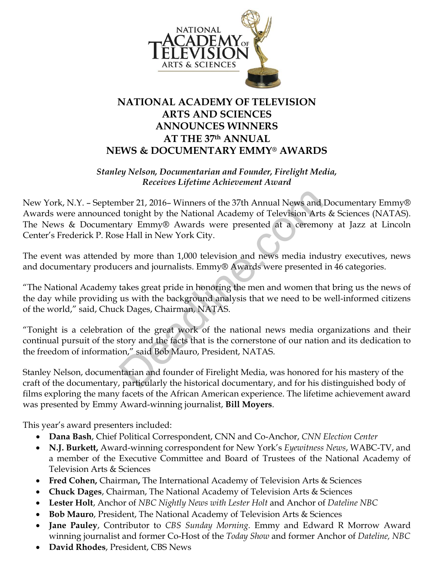

#### **NATIONAL ACADEMY OF TELEVISION ARTS AND SCIENCES ANNOUNCES WINNERS AT THE 37th ANNUAL NEWS & DOCUMENTARY EMMY® AWARDS**

#### *Stanley Nelson, Documentarian and Founder, Firelight Media, Receives Lifetime Achievement Award*

New York, N.Y. – September 21, 2016– Winners of the 37th Annual News and Documentary Emmy® Awards were announced tonight by the National Academy of Television Arts & Sciences (NATAS). The News & Documentary Emmy® Awards were presented at a ceremony at Jazz at Lincoln Center's Frederick P. Rose Hall in New York City. hear 21, 2016– Winners of the 37th Annual News and<br>
1 tonight by the National Academy of Television Arts<br>
tary Emmy® Awards were presented at a ceremo<br>
e Hall in New York City.<br>
by more than 1,000 television and news media

The event was attended by more than 1,000 television and news media industry executives, news and documentary producers and journalists. Emmy® Awards were presented in 46 categories.

"The National Academy takes great pride in honoring the men and women that bring us the news of the day while providing us with the background analysis that we need to be well-informed citizens of the world," said, Chuck Dages, Chairman, NATAS.

"Tonight is a celebration of the great work of the national news media organizations and their continual pursuit of the story and the facts that is the cornerstone of our nation and its dedication to the freedom of information," said Bob Mauro, President, NATAS.

Stanley Nelson, documentarian and founder of Firelight Media, was honored for his mastery of the craft of the documentary, particularly the historical documentary, and for his distinguished body of films exploring the many facets of the African American experience. The lifetime achievement award was presented by Emmy Award-winning journalist, **Bill Moyers**.

This year's award presenters included:

- **Dana Bash**, Chief Political Correspondent, CNN and Co-Anchor, *CNN Election Center*
- **N.J. Burkett,** Award-winning correspondent for New York's *Eyewitness News*, WABC-TV, and a member of the Executive Committee and Board of Trustees of the National Academy of Television Arts & Sciences
- **Fred Cohen,** Chairman**,** The International Academy of Television Arts & Sciences
- **Chuck Dages**, Chairman, The National Academy of Television Arts & Sciences
- **Lester Holt**, Anchor of *NBC Nightly News with Lester Holt* and Anchor of *Dateline NBC*
- **Bob Mauro**, President, The National Academy of Television Arts & Sciences
- **Jane Pauley**, Contributor to *CBS Sunday Morning.* Emmy and Edward R Morrow Award winning journalist and former Co-Host of the *Today Show* and former Anchor of *Dateline, NBC*
- **David Rhodes**, President, CBS News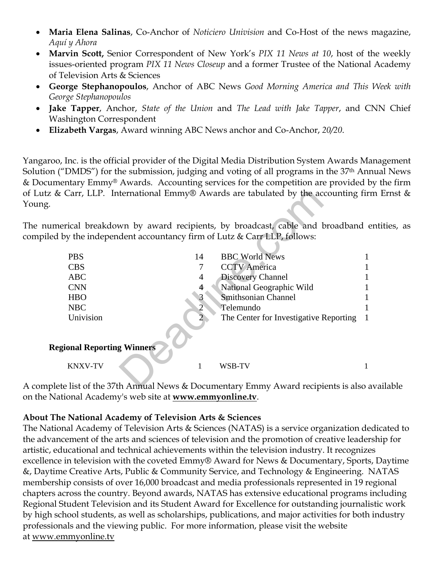- **Maria Elena Salinas**, Co-Anchor of *Noticiero Univision* and Co-Host of the news magazine, *Aquí y Ahora*
- **Marvin Scott,** Senior Correspondent of New York's *PIX 11 News at 10*, host of the weekly issues-oriented program *PIX 11 News Closeup* and a former Trustee of the National Academy of Television Arts & Sciences
- **George Stephanopoulos**, Anchor of ABC News *Good Morning America and This Week with George Stephanopoulos*
- **Jake Tapper**, Anchor, *State of the Union* and *The Lead with Jake Tapper*, and CNN Chief Washington Correspondent
- **Elizabeth Vargas**, Award winning ABC News anchor and Co-Anchor, *20/20*.

Yangaroo, Inc. is the official provider of the Digital Media Distribution System Awards Management Solution ("DMDS") for the submission, judging and voting of all programs in the 37<sup>th</sup> Annual News & Documentary Emmy® Awards. Accounting services for the competition are provided by the firm of Lutz & Carr, LLP. International Emmy® Awards are tabulated by the accounting firm Ernst & Young.

The numerical breakdown by award recipients, by broadcast, cable and broadband entities, as compiled by the independent accountancy firm of Lutz  $\&$  Carr LLP, follows:

| of Lutz & Carr, LLP. International Emmy® Awards are tabulated by the accounting firr<br>Young.                                                                   |                |                                        |  |
|------------------------------------------------------------------------------------------------------------------------------------------------------------------|----------------|----------------------------------------|--|
| The numerical breakdown by award recipients, by broadcast, cable and broadband e<br>compiled by the independent accountancy firm of Lutz $\&$ Carr LLP, follows: |                |                                        |  |
| <b>PBS</b>                                                                                                                                                       | 14             | <b>BBC World News</b>                  |  |
| <b>CBS</b>                                                                                                                                                       |                | <b>CCTV</b> America                    |  |
| <b>ABC</b>                                                                                                                                                       | 4              | <b>Discovery Channel</b>               |  |
| <b>CNN</b>                                                                                                                                                       | 4              | National Geographic Wild               |  |
| <b>HBO</b>                                                                                                                                                       |                | <b>Smithsonian Channel</b>             |  |
| <b>NBC</b>                                                                                                                                                       | $\overline{2}$ | Telemundo                              |  |
| Univision                                                                                                                                                        |                | The Center for Investigative Reporting |  |
|                                                                                                                                                                  |                |                                        |  |
| <b>Regional Reporting Winners</b>                                                                                                                                |                |                                        |  |
| <b>KNXV-TV</b>                                                                                                                                                   | 1              | WSB-TV                                 |  |
| A complete list of the 37th Annual News & Documentary Emmy Award recipients is also a                                                                            |                |                                        |  |

A complete list of the 37th Annual News & Documentary Emmy Award recipients is also available on the National Academy's web site at **www.emmyonline.tv**.

#### **About The National Academy of Television Arts & Sciences**

The National Academy of Television Arts & Sciences (NATAS) is a service organization dedicated to the advancement of the arts and sciences of television and the promotion of creative leadership for artistic, educational and technical achievements within the television industry. It recognizes excellence in television with the coveted Emmy® Award for News & Documentary, Sports, Daytime &, Daytime Creative Arts, Public & Community Service, and Technology & Engineering. NATAS membership consists of over 16,000 broadcast and media professionals represented in 19 regional chapters across the country. Beyond awards, NATAS has extensive educational programs including Regional Student Television and its Student Award for Excellence for outstanding journalistic work by high school students, as well as scholarships, publications, and major activities for both industry professionals and the viewing public. For more information, please visit the website at www.emmyonline.tv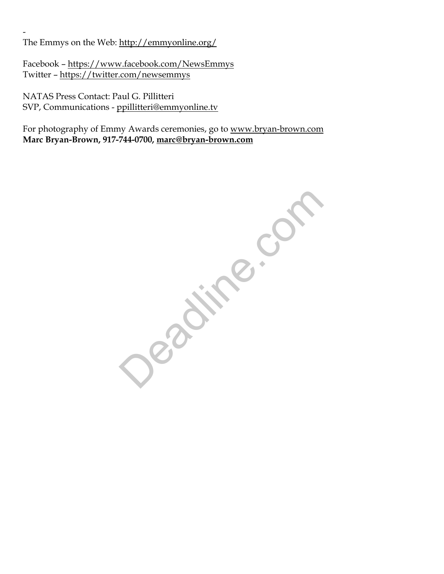- The Emmys on the Web: http://emmyonline.org/

Facebook – https://www.facebook.com/NewsEmmys Twitter – https://twitter.com/newsemmys

NATAS Press Contact: Paul G. Pillitteri SVP, Communications - ppillitteri@emmyonline.tv

For photography of Emmy Awards ceremonies, go to www.bryan-brown.com **Marc Bryan-Brown, 917-744-0700, marc@bryan-brown.com** 

Deadine.com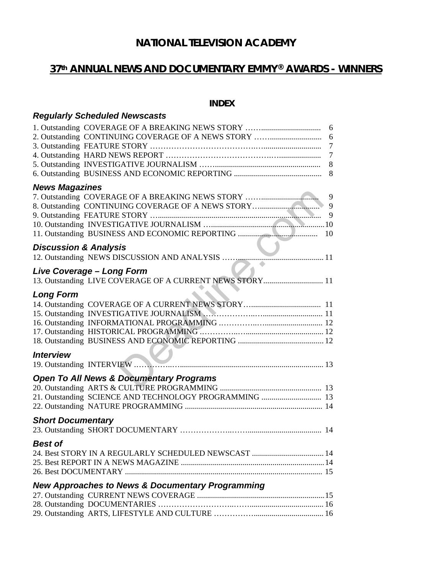### **37th ANNUAL NEWS AND DOCUMENTARY EMMY® AWARDS - WINNERS**

#### **INDEX**

| <b>Regularly Scheduled Newscasts</b>                        |                                                      |
|-------------------------------------------------------------|------------------------------------------------------|
| 2. Outstanding CONTINUING COVERAGE OF A NEWS STORY          | 6<br>6<br>$\overline{7}$<br>$\overline{7}$<br>8<br>8 |
| <b>News Magazines</b>                                       |                                                      |
|                                                             | 9<br>9<br>10                                         |
| <b>Discussion &amp; Analysis</b>                            |                                                      |
| Live Coverage - Long Form                                   |                                                      |
| 13. Outstanding LIVE COVERAGE OF A CURRENT NEWS STORY  11   |                                                      |
| <b>Long Form</b>                                            |                                                      |
|                                                             |                                                      |
|                                                             |                                                      |
| <b>Interview</b>                                            |                                                      |
| <b>Open To All News &amp; Documentary Programs</b>          |                                                      |
|                                                             |                                                      |
| 21. Outstanding SCIENCE AND TECHNOLOGY PROGRAMMING  13      |                                                      |
| <b>Short Documentary</b>                                    |                                                      |
|                                                             |                                                      |
| <b>Best of</b>                                              |                                                      |
|                                                             |                                                      |
|                                                             |                                                      |
| <b>New Approaches to News &amp; Documentary Programming</b> |                                                      |
|                                                             |                                                      |
|                                                             |                                                      |
|                                                             |                                                      |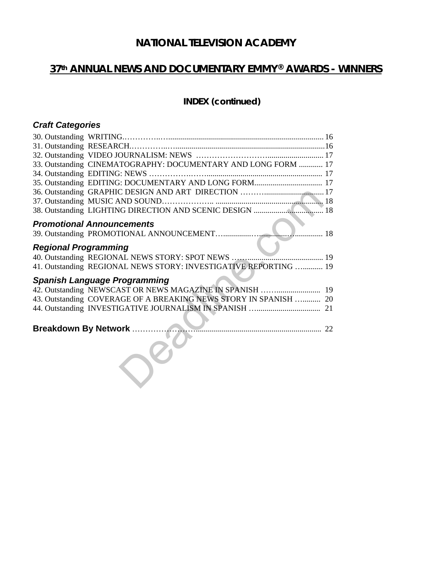# **37th ANNUAL NEWS AND DOCUMENTARY EMMY® AWARDS - WINNERS**

#### **INDEX (continued)**

#### *Craft Categories*

|                             | 33. Outstanding CINEMATOGRAPHY: DOCUMENTARY AND LONG FORM  17    |  |
|-----------------------------|------------------------------------------------------------------|--|
|                             |                                                                  |  |
|                             |                                                                  |  |
|                             |                                                                  |  |
|                             |                                                                  |  |
|                             |                                                                  |  |
|                             | <b>Promotional Announcements</b>                                 |  |
|                             |                                                                  |  |
| <b>Regional Programming</b> |                                                                  |  |
|                             |                                                                  |  |
|                             | 41. Outstanding REGIONAL NEWS STORY: INVESTIGATIVE REPORTING  19 |  |
|                             | <b>Spanish Language Programming</b>                              |  |
|                             | 42. Outstanding NEWSCAST OR NEWS MAGAZINE IN SPANISH  19         |  |
|                             | 43. Outstanding COVERAGE OF A BREAKING NEWS STORY IN SPANISH  20 |  |
|                             |                                                                  |  |
|                             |                                                                  |  |
|                             |                                                                  |  |
|                             |                                                                  |  |
|                             |                                                                  |  |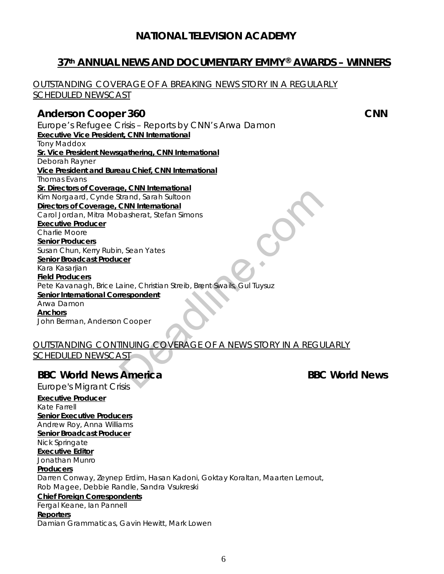#### **37th ANNUAL NEWS AND DOCUMENTARY EMMY® AWARDS – WINNERS**

OUTSTANDING COVERAGE OF A BREAKING NEWS STORY IN A REGULARLY SCHEDULED NEWSCAST

#### Anderson Cooper 360 **CNN**

*Europe's Refugee Crisis – Reports by CNN's Arwa Damon* **Executive Vice President, CNN International**  Tony Maddox **Sr. Vice President Newsgathering, CNN International**  Deborah Rayner **Vice President and Bureau Chief, CNN International**  Thomas Evans **Sr. Directors of Coverage, CNN International**  Kim Norgaard, Cynde Strand, Sarah Sultoon **Directors of Coverage, CNN International**  Carol Jordan, Mitra Mobasherat, Stefan Simons **Executive Producer**  Charlie Moore **Senior Producers**  Susan Chun, Kerry Rubin, Sean Yates **Senior Broadcast Producer**  Kara Kasarijan **Field Producers**  Pete Kavanagh, Brice Laine, Christian Streib, Brent Swails, Gul Tuysuz **Senior International Correspondent**  Arwa Damon **Anchors**  John Berman, Anderson Cooper External, Sarah Sultoon<br>
CNN International<br>
Deasherat, Stefan Simons<br>
1, Sean Yates<br>
Cer<br>
aine, Christian Streib, Brent Swails, Gul Tuysuz<br>
Tespondent<br>
1 Cooper<br>
COOPERAGE OF A NEWS STORY IN A REGU<br>
AST<br>
America<br>
BBC

#### OUTSTANDING CONTINUING COVERAGE OF A NEWS STORY IN A REGULARLY SCHEDULED NEWSCAST

#### **BBC World News America BBC World News**

*Europe's Migrant Crisis* 

**Executive Producer** 

Kate Farrell **Senior Executive Producers**  Andrew Roy, Anna Williams **Senior Broadcast Producer**  Nick Springate **Executive Editor**  Jonathan Munro **Producers**  Darren Conway, Zeynep Erdim, Hasan Kadoni, Goktay Koraltan, Maarten Lernout, Rob Magee, Debbie Randle, Sandra Vsukreski **Chief Foreign Correspondents**  Fergal Keane, Ian Pannell **Reporters**  Damian Grammaticas, Gavin Hewitt, Mark Lowen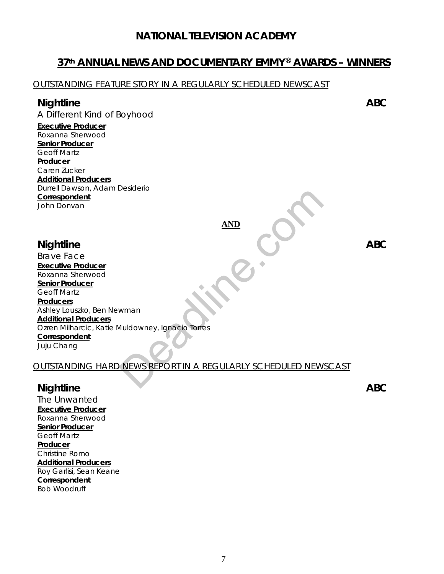#### **37th ANNUAL NEWS AND DOCUMENTARY EMMY® AWARDS – WINNERS**

#### OUTSTANDING FEATURE STORY IN A REGULARLY SCHEDULED NEWSCAST

#### **Nightline ABC**

*A Different Kind of Boyhood* 

#### **Executive Producer**

Roxanna Sherwood **Senior Producer**  Geoff Martz **Producer**  Caren Zucker **Additional Producers**  Durrell Dawson, Adam Desiderio **Correspondent**  John Donvan

#### **AND**

#### **Nightline ABC**

*Brave Face*  **Executive Producer**  Roxanna Sherwood **Senior Producer**  Geoff Martz **Producers**  Ashley Louszko, Ben Newman **Additional Producers**  Ozren Milharcic, Katie Muldowney, Ignacio Torres **Correspondent**  Juju Chang AND<br>Wman<br>Muldowney, Ignacio Torres<br>NEWS REPORT IN A REGULARLY SCHEDULED NEW

#### OUTSTANDING HARD NEWS REPORT IN A REGULARLY SCHEDULED NEWSCAST

#### **Nightline ABC**

*The Unwanted*  **Executive Producer**  Roxanna Sherwood **Senior Producer**  Geoff Martz **Producer**  Christine Romo **Additional Producers**  Roy Garlisi, Sean Keane **Correspondent**  Bob Woodruff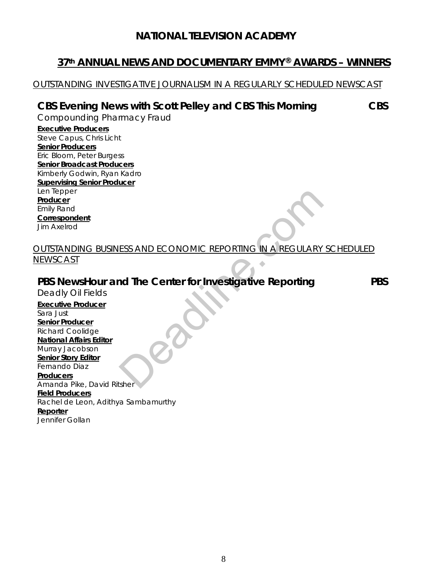#### **37th ANNUAL NEWS AND DOCUMENTARY EMMY® AWARDS – WINNERS**

#### OUTSTANDING INVESTIGATIVE JOURNALISM IN A REGULARLY SCHEDULED NEWSCAST

#### **CBS Evening News with Scott Pelley and CBS This Morning CBS**

*Compounding Pharmacy Fraud* 

#### **Executive Producers**

Steve Capus, Chris Licht **Senior Producers**  Eric Bloom, Peter Burgess **Senior Broadcast Producers**  Kimberly Godwin, Ryan Kadro **Supervising Senior Producer**  Len Tepper **Producer**  Emily Rand **Correspondent**  Jim Axelrod

# OUTSTANDING BUSINESS AND ECONOMIC REPORTING IN A REGULARY SCHEDULED **NEWSCAST** ESS AND ECONOMIC REPORTING IN A REGULARY<br>
Nd The Center for Investigative Reporting<br>
Sher

#### **PBS NewsHour and The Center for Investigative Reporting PBS**

*Deadly Oil Fields* 

**Executive Producer**  Sara Just **Senior Producer**  Richard Coolidge **National Affairs Editor**  Murray Jacobson **Senior Story Editor**  Fernando Diaz **Producers**  Amanda Pike, David Ritsher **Field Producers**  Rachel de Leon, Adithya Sambamurthy

**Reporter** 

Jennifer Gollan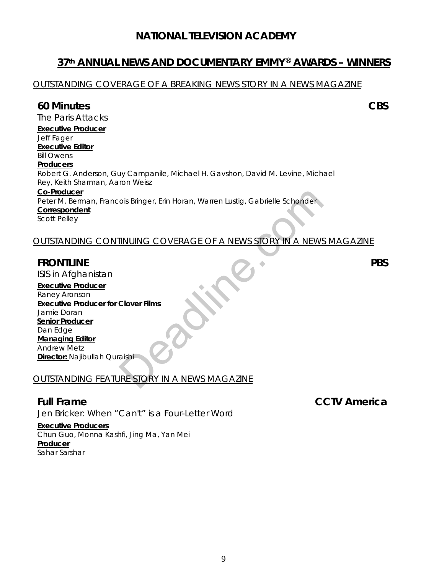#### **37th ANNUAL NEWS AND DOCUMENTARY EMMY® AWARDS – WINNERS**

#### OUTSTANDING COVERAGE OF A BREAKING NEWS STORY IN A NEWS MAGAZINE

#### **60 Minutes CBS**

*The Paris Attacks* 

#### **Executive Producer**  Jeff Fager

**Executive Editor** 

#### Bill Owens

#### **Producers**

Robert G. Anderson, Guy Campanile, Michael H. Gavshon, David M. Levine, Michael Rey, Keith Sharman, Aaron Weisz

#### **Co-Producer**

Peter M. Berman, Francois Bringer, Erin Horan, Warren Lustig, Gabrielle Schonder **Correspondent** 

Scott Pelley

#### OUTSTANDING CONTINUING COVERAGE OF A NEWS STORY IN A NEWS MAGAZINE

#### **FRONTLINE PBS**

*ISIS in Afghanistan* 

**Executive Producer**  Raney Aronson **Executive Producer for Clover Films**  Jamie Doran **Senior Producer**  Dan Edge **Managing Editor**  Andrew Metz **Director:** Najibullah Quraishi ois Bringer, Erin Horan, Warren Lustig, Gabrielle Schonder<br>
FINUING COVERAGE OF A NEWS STORY IN A NEWS<br>
Clover Films<br>
RE STORY IN A NEWS MAGAZINE

#### OUTSTANDING FEATURE STORY IN A NEWS MAGAZINE

*Jen Bricker: When "Can't" is a Four-Letter Word* 

#### **Executive Producers**

Chun Guo, Monna Kashfi, Jing Ma, Yan Mei **Producer**  Sahar Sarshar

**Full Frame CCTV America**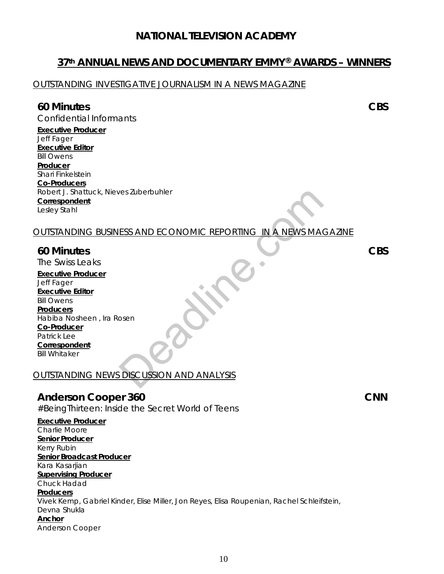#### **37th ANNUAL NEWS AND DOCUMENTARY EMMY® AWARDS – WINNERS**

OUTSTANDING INVESTIGATIVE JOURNALISM IN A NEWS MAGAZINE

#### **60 Minutes CBS**

*Confidential Informants* 

**Executive Producer**  Jeff Fager **Executive Editor**  Bill Owens **Producer**  Shari Finkelstein **Co-Producers**  Robert J. Shattuck, Nieves Zuberbuhler **Correspondent**  Lesley Stahl

# OUTSTANDING BUSINESS AND ECONOMIC REPORTING IN A NEWS MAGAZINE ESS AND ECONOMIC REPORTING IN A NEWS MAGNET

#### **60 Minutes CBS**

*The Swiss Leaks* 

**Executive Producer**  Jeff Fager **Executive Editor**  Bill Owens **Producers**  Habiba Nosheen , Ira Rosen **Co-Producer** 

Patrick Lee **Correspondent**  Bill Whitaker

#### OUTSTANDING NEWS DISCUSSION AND ANALYSIS

#### Anderson Cooper 360 **CNN**

*#BeingThirteen: Inside the Secret World of Teens*  **Executive Producer**  Charlie Moore **Senior Producer**  Kerry Rubin **Senior Broadcast Producer**  Kara Kasarjian **Supervising Producer**  Chuck Hadad **Producers**  Vivek Kemp, Gabriel Kinder, Elise Miller, Jon Reyes, Elisa Roupenian, Rachel Schleifstein, Devna Shukla **Anchor**  Anderson Cooper

10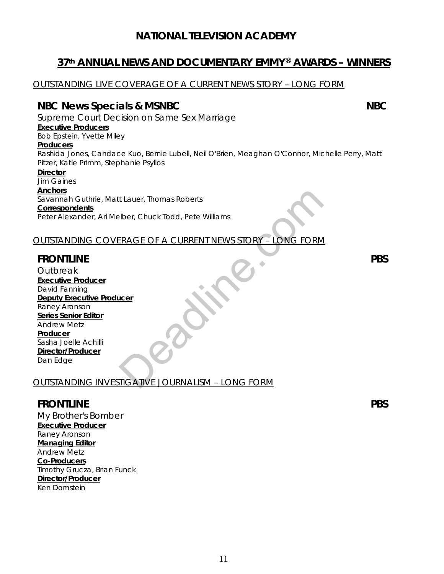#### **37th ANNUAL NEWS AND DOCUMENTARY EMMY® AWARDS – WINNERS**

OUTSTANDING LIVE COVERAGE OF A CURRENT NEWS STORY – LONG FORM

#### **NBC News Specials & MSNBC NBC**

*Supreme Court Decision on Same Sex Marriage*  **Executive Producers**  Bob Epstein, Yvette Miley **Producers**  Rashida Jones, Candace Kuo, Bernie Lubell, Neil O'Brien, Meaghan O'Connor, Michelle Perry, Matt Pitzer, Katie Primm, Stephanie Psyllos

**Director** 

Jim Gaines **Anchors**  Savannah Guthrie, Matt Lauer, Thomas Roberts **Correspondents**  Peter Alexander, Ari Melber, Chuck Todd, Pete Williams Exace OF A CURRENT NEWS STORY - LONG FORM

#### OUTSTANDING COVERAGE OF A CURRENT NEWS STORY – LONG FORM

#### **FRONTLINE PBS**

*Outbreak*  **Executive Producer**  David Fanning **Deputy Executive Producer**  Raney Aronson **Series Senior Editor**  Andrew Metz **Producer** Sasha Joelle Achilli **Director/Producer**  Dan Edge

#### OUTSTANDING INVESTIGATIVE JOURNALISM – LONG FORM

#### **FRONTLINE PBS**

*My Brother's Bomber*  **Executive Producer**  Raney Aronson **Managing Editor**  Andrew Metz **Co-Producers**  Timothy Grucza, Brian Funck **Director/Producer**  Ken Dornstein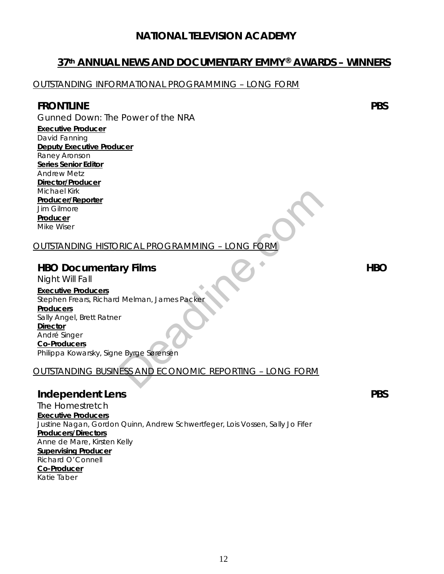#### **37th ANNUAL NEWS AND DOCUMENTARY EMMY® AWARDS – WINNERS**

OUTSTANDING INFORMATIONAL PROGRAMMING – LONG FORM

#### **FRONTLINE PBS**

*Gunned Down: The Power of the NRA* 

**Executive Producer**  David Fanning **Deputy Executive Producer**  Raney Aronson **Series Senior Editor**  Andrew Metz **Director/Producer**  Michael Kirk **Producer/Reporter**  Jim Gilmore **Producer**  Mike Wiser

#### OUTSTANDING HISTORICAL PROGRAMMING – LONG FORM

#### **HBO Documentary Films HBO**

*Night Will Fall* 

**Executive Producers**  Stephen Frears, Richard Melman, James Packer **Producers**  Sally Angel, Brett Ratner **Director**  André Singer **Co-Producers**  Philippa Kowarsky, Signe Byrge Sørensen RICAL PROGRAMMING - LONG FORM<br>Ty Films<br>I Melman, James Packer<br>T<br>ESS AND ECONOMIC REPORTING - LONG FORM

OUTSTANDING BUSINESS AND ECONOMIC REPORTING – LONG FORM

#### **Independent Lens PBS**

*The Homestretch*  **Executive Producers**  Justine Nagan, Gordon Quinn, Andrew Schwertfeger, Lois Vossen, Sally Jo Fifer **Producers/Directors**  Anne de Mare, Kirsten Kelly **Supervising Producer**  Richard O'Connell **Co-Producer**  Katie Taber

12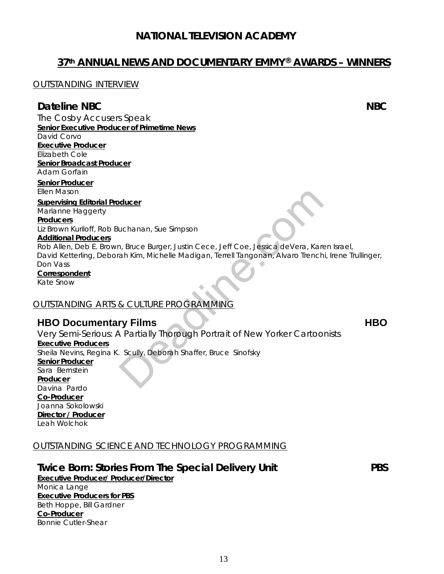#### **37th ANNUAL NEWS AND DOCUMENTARY EMMY® AWARDS – WINNERS**

#### OUTSTANDING INTERVIEW

#### **Dateline NBC** NBC

*The Cosby Accusers Speak*  **Senior Executive Producer of Primetime News**  David Corvo **Executive Producer**  Elizabeth Cole **Senior Broadcast Producer**  Adam Gorfain

#### **Senior Producer**  Ellen Mason

**Supervising Editorial Producer** 

Marianne Haggerty

**Producers** 

Liz Brown Kuriloff, Rob Buchanan, Sue Simpson

#### **Additional Producers**

Rob Allen, Deb E. Brown, Bruce Burger, Justin Cece, Jeff Coe, Jessica deVera, Karen Israel, David Ketterling, Deborah Kim, Michelle Madigan, Terrell Tangonan, Alvaro Trenchi, Irene Trullinger, Don Vass

#### **Correspondent**

Kate Snow

#### OUTSTANDING ARTS & CULTURE PROGRAMMING

#### **HBO Documentary Films HBO HBO**

*Very Semi-Serious: A Partially Thorough Portrait of New Yorker Cartoonists* **Executive Producers**  Sheila Nevins, Regina K. Scully, Deborah Shaffer, Bruce Sinofsky **Senior Producer**  Mariann, Sue Simpson<br>
The Burger, Justin Cece, Jeff Coe, Jessica deVera, Kare<br>
The Nim, Michelle Madigan, Terrell Tangonan, Alvaro Trench<br>
Statistics: CULTURE PROGRAMMING<br>
The Partially Thorough Portrait of New Yorker Cart

Sara Bernstein **Producer**  Davina Pardo **Co-Producer**  Joanna Sokolowski **Director / Producer**  Leah Wolchok

#### OUTSTANDING SCIENCE AND TECHNOLOGY PROGRAMMING

**Twice Born: Stories From The Special Delivery Unit PBS Executive Producer/ Producer/Director**  Monica Lange **Executive Producers for PBS**  Beth Hoppe, Bill Gardner **Co-Producer**  Bonnie Cutler-Shear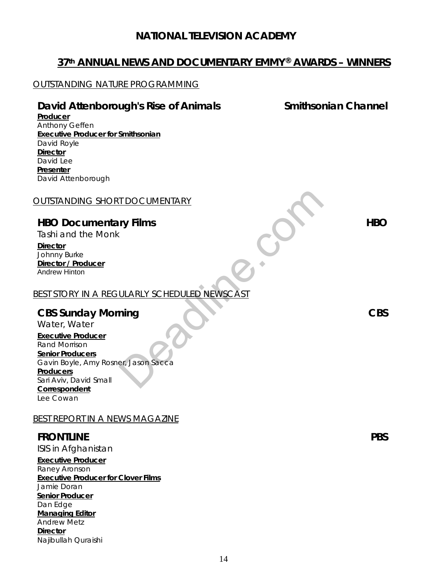#### **37th ANNUAL NEWS AND DOCUMENTARY EMMY® AWARDS – WINNERS**

#### OUTSTANDING NATURE PROGRAMMING

#### **David Attenborough's Rise of Animals Smithsonian Channel**

**Producer**  Anthony Geffen **Executive Producer for Smithsonian**  David Royle **Director**  David Lee  **Presenter**  David Attenborough

#### OUTSTANDING SHORT DOCUMENTARY

#### **HBO Documentary Films HBO**

*Tashi and the Monk* 

**Director**  Johnny Burke **Director / Producer**  Andrew Hinton

#### BEST STORY IN A REGULARLY SCHEDULED NEWSCAST

#### **CBS Sunday Morning CBS**

 *Water, Water*  **Executive Producer**  Rand Morrison **Senior Producers**  Gavin Boyle, Amy Rosner, Jason Sacca **Producers**  Sari Aviv, David Small **Correspondent**  Lee Cowan T DOCUMENTARY<br>
TY Films<br>
ULARLY SCHEDULED NEWSCAST<br>
ning<br>
er, Jason Sacca

#### BEST REPORT IN A NEWS MAGAZINE

#### **FRONTLINE PBS**

*ISIS in Afghanistan* 

**Executive Producer**  Raney Aronson **Executive Producer for Clover Films**  Jamie Doran **Senior Producer**  Dan Edge **Managing Editor**  Andrew Metz **Director**  Najibullah Quraishi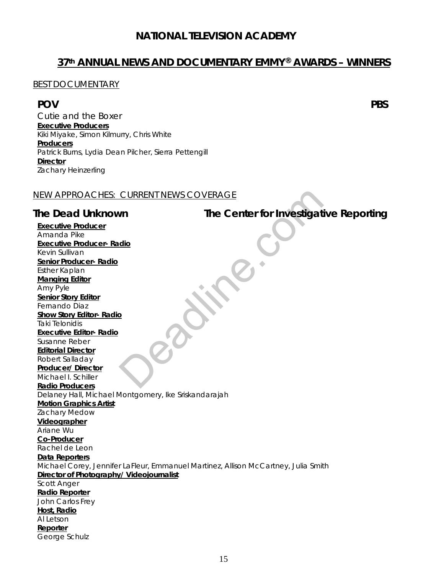#### **37th ANNUAL NEWS AND DOCUMENTARY EMMY® AWARDS – WINNERS**

#### BEST DOCUMENTARY

#### **POV PBS**

*Cutie and the Boxer*  **Executive Producers**  Kiki Miyake, Simon Kilmurry, Chris White **Producers**  Patrick Burns, Lydia Dean Pilcher, Sierra Pettengill **Director**  Zachary Heinzerling

#### NEW APPROACHES: CURRENT NEWS COVERAGE

**Executive Producer- Radio** 

**Executive Producer**  Amanda Pike

**The Dead Unknown The Center for Investigative Reporting** 

Kevin Sullivan **Senior Producer- Radio**  Esther Kaplan **Manging Editor**  Amy Pyle **Senior Story Editor**  Fernando Diaz **Show Story Editor- Radio**  Taki Telonidis **Executive Editor- Radio**  Susanne Reber **Editorial Director**  Robert Salladay **Producer/ Director**  Michael I. Schiller **Radio Producers**  Delaney Hall, Michael Montgomery, Ike Sriskandarajah **Motion Graphics Artist**  Zachary Medow **Videographer**  Ariane Wu **Co-Producer**  Rachel de Leon **Data Reporters**  Michael Corey, Jennifer LaFleur, Emmanuel Martinez, Allison McCartney, Julia Smith **Director of Photography/ Videojournalist**  Scott Anger **Radio Reporter**  John Carlos Frey **Host, Radio**  Al Letson **Reporter**  George Schulz CURRENT NEWS COVERAGE<br>
The Center for Investigation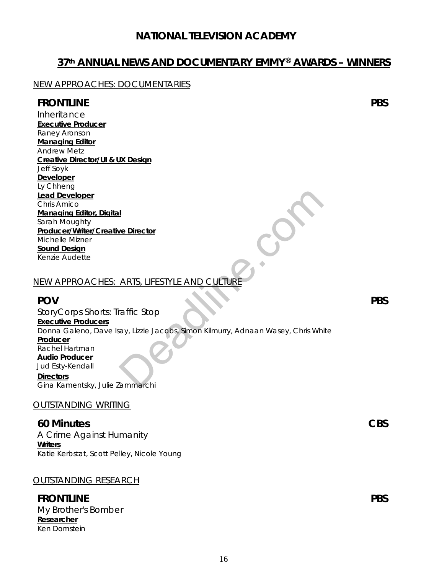#### **37th ANNUAL NEWS AND DOCUMENTARY EMMY® AWARDS – WINNERS**

#### NEW APPROACHES: DOCUMENTARIES

#### **FRONTLINE PBS**

*Inheritance*  **Executive Producer**  Raney Aronson **Managing Editor**  Andrew Metz **Creative Director/UI & UX Design**  Jeff Soyk **Developer**  Ly Chheng **Lead Developer**  Chris Amico **Managing Editor, Digital**  Sarah Moughty **Producer/Writer/Creative Director**  Michelle Mizner **Sound Design**  Kenzie Audette

#### NEW APPROACHES: ARTS, LIFESTYLE AND CULTU

#### **POV PBS**

*StoryCorps Shorts: Traffic Stop* **Executive Producers**  Donna Galeno, Dave Isay, Lizzie Jacobs, Simon Kilmurry, Adnaan Wasey, Chris White **Producer**  Rachel Hartman **Audio Producer**  Jud Esty-Kendall **Directors**  Gina Kamentsky, Julie Zammarchi <u>I</u><br> **ARTS, LIFESTYLE AND CULTURE**<br> **CARTS, LIFESTYLE AND CULTURE**<br> **CARTS, LIFESTYLE AND CULTURE**<br> **CARTS, LIFESTYLE AND CULTURE**<br> **CARTS, LIFESTYLE AND CULTURE**<br> **CARTS AND CULTURE** 

#### OUTSTANDING WRITING

#### **60 Minutes CBS**

*A Crime Against Humanity*  **Writers**  Katie Kerbstat, Scott Pelley, Nicole Young

#### OUTSTANDING RESEARCH

#### **FRONTLINE PBS**

*My Brother's Bomber*  **Researcher**  Ken Dornstein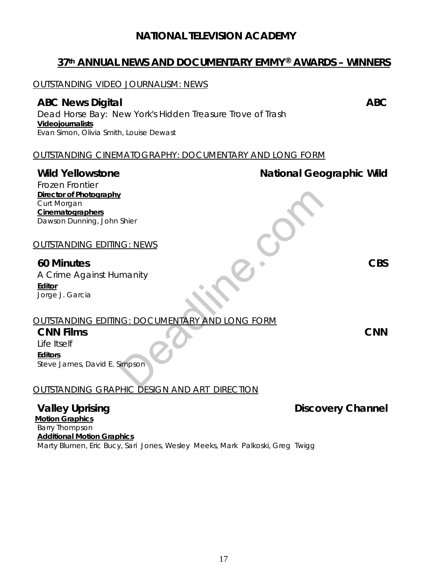#### **37th ANNUAL NEWS AND DOCUMENTARY EMMY® AWARDS – WINNERS**

#### OUTSTANDING VIDEO JOURNALISM: NEWS

#### **ABC News Digital ABC**

*Dead Horse Bay: New York's Hidden Treasure Trove of Trash*  **Videojournalists**  Evan Simon, Olivia Smith, Louise Dewast

#### OUTSTANDING CINEMATOGRAPHY: DOCUMENTARY AND LONG FORM

#### Wild Yellowstone **National Geographic Wild** *Frozen Frontier*  **Director of Photography**  Curt Morgan **Cinematographers**  Dawson Dunning, John Shier OUTSTANDING EDITING: NEWS **60 Minutes CBS** *A Crime Against Humanity*  **Editor**  Jorge J. Garcia OUTSTANDING EDITING: DOCUMENTARY AND LONG FORM **CNN Films CNN**  *Life Itself*  **Editors**  Steve James, David E. Simpson OUTSTANDING GRAPHIC DESIGN AND ART DIRECTION Shier<br>
IG: NEWS<br>
IMARITY<br>
UG.: DOCUMENTARY AND LONG FORM<br>
Simpson<br>
NUG PECCN AND ART PIPECTON

**Valley Uprising Discovery Channel Discovery Channel** 

**Motion Graphics**  Barry Thompson **Additional Motion Graphics**  Marty Blumen, Eric Bucy, Sari Jones, Wesley Meeks, Mark Palkoski, Greg Twigg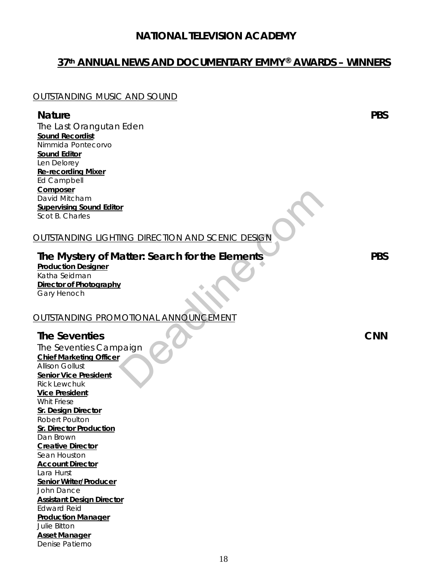#### **37th ANNUAL NEWS AND DOCUMENTARY EMMY® AWARDS – WINNERS**

#### OUTSTANDING MUSIC AND SOUND **Nature PBS**  *The Last Orangutan Eden*  **Sound Recordist**  Nimmida Pontecorvo **Sound Editor**  Len Delorey **Re-recording Mixer**  Ed Campbell **Composer**  David Mitcham **Supervising Sound Editor**  Scot B. Charles OUTSTANDING LIGHTING DIRECTION AND SCENIC DESIGN **The Mystery of Matter: Search for the Elements PBS Production Designer**  Katha Seidman **Director of Photography**  Gary Henoch OUTSTANDING PROMOTIONAL ANNOUNCEMENT **The Seventies CNN**  *The Seventies Campaign*  **Chief Marketing Officer**  Allison Gollust **Senior Vice President**  Rick Lewchuk **Vice President**  Whit Friese **Sr. Design Director**  Robert Poulton **Sr. Director Production**  Dan Brown **Creative Director**  Sean Houston **Account Director**  Lara Hurst **Senior Writer/Producer**  John Dance **Assistant Design Director**  ING DIRECTION AND SCENIC DESIGN<br>atter: Search for the Elements<br>L<br>MOTIONAL ANNOUNCEMENT<br>paign

Edward Reid

Julie Bitton **Asset Manager**  Denise Patierno

**Production Manager**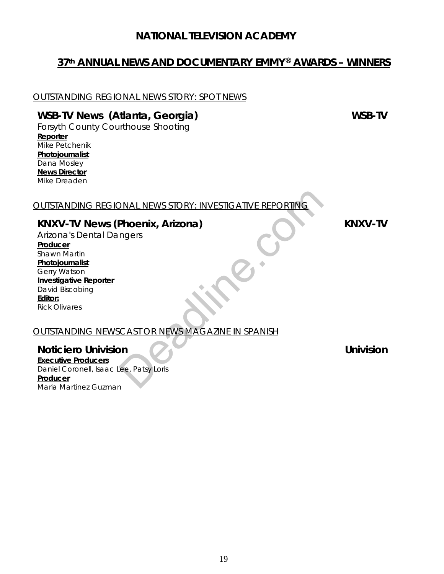#### **37th ANNUAL NEWS AND DOCUMENTARY EMMY® AWARDS – WINNERS**

#### OUTSTANDING REGIONAL NEWS STORY: SPOT NEWS

#### WSB-TV News (Atlanta, Georgia) **WSB-TV** WSB-TV

*Forsyth County Courthouse Shooting*  **Reporter**  Mike Petchenik **Photojournalist**  Dana Mosley **News Director**  Mike Dreaden

#### OUTSTANDING REGIONAL NEWS STORY: INVESTIGATIVE REPORTING

#### **KNXV-TV News (Phoenix, Arizona) KNXV-TV**

*Arizona's Dental Dangers*  **Producer**  Shawn Martin **Photojournalist**  Gerry Watson **Investigative Reporter**  David Biscobing **Editor:**  Rick Olivares **OUTSTANDING REGIONAL NEWS STORY: INVESTIGATIVE REPORTING<br>
<b>KNXV-TV News (Phoenix, Arizona)**<br>
Arizona's Dental Dangers<br> **Phoducer**<br> **Shawn Martin**<br> **Photoiournalist**<br> **Completes**<br> **David Biscobing**<br> **Editor:**<br>
Rick Olivare

#### OUTSTANDING NEWSCAST OR NEWS MAGAZINE IN SPANISH

#### **Noticiero Univision Univision**

**Executive Producers**  Daniel Coronell, Isaac Lee, Patsy Loris **Producer**  Maria Martinez Guzman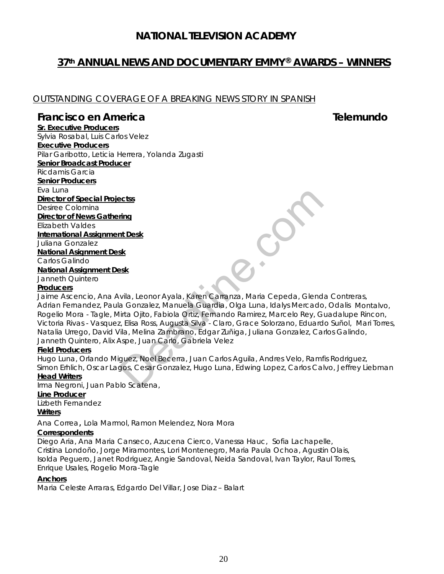#### **37th ANNUAL NEWS AND DOCUMENTARY EMMY® AWARDS – WINNERS**

#### OUTSTANDING COVERAGE OF A BREAKING NEWS STORY IN SPANISH

#### **Francisco en America** Telemundo

**Sr. Executive Producers**  Sylvia Rosabal, Luis Carlos Velez **Executive Producers** Pilar Garibotto, Leticia Herrera, Yolanda Zugasti **Senior Broadcast Producer** Ricdamis Garcia **Senior Producers** Eva Luna **Director of Special Projectss** Desiree Colomina **Director of News Gathering** Elizabeth Valdes **International Assignment Desk**

Juliana Gonzalez

**National Asignment Desk**

Carlos Galindo

**National Assignment Desk**

Janneth Quintero

#### **Producers**

Jaime Ascencio, Ana Avila, Leonor Ayala, Karen Carranza, Maria Cepeda, Glenda Contreras, Adrian Fernandez, Paula Gonzalez, Manuela Guardia, Olga Luna, Idalys Mercado, Odalis Montalvo, Rogelio Mora - Tagle, Mirta Ojito, Fabiola Ortiz, Fernando Ramirez, Marcelo Rey, Guadalupe Rincon, Victoria Rivas - Vasquez, Elisa Ross, Augusta Silva - Claro, Grace Solorzano, Eduardo Suñol, Mari Torres, Natalia Urrego, David Vila, Melina Zambrano, Edgar Zuñiga, Juliana Gonzalez, Carlos Galindo, Janneth Quintero, Alix Aspe, Juan Carlo, Gabriela Velez ectss<br>
International Control Control Control Control Control Control Control Control<br>
Similar, Leonor Ayala, Karen Carranza, Maria Cepeda, Glend<br>
a Gonzalez, Manuela Guardia, Olga Luna, Idalys Mercado<br>
Irla, Melina Zambran

#### **Field Producers**

Hugo Luna, Orlando Miguez, Noel Becerra, Juan Carlos Aguila, Andres Velo, Ramfis Rodriguez, Simon Erhlich, Oscar Lagos, Cesar Gonzalez, Hugo Luna, Edwing Lopez, Carlos Calvo, Jeffrey Liebman

#### **Head Writers**

Irma Negroni, Juan Pablo Scatena,

**Line Producer**

Lizbeth Fernandez

#### **Writers**

Ana Correa, Lola Marmol, Ramon Melendez, Nora Mora

#### **Correspondents**

Diego Aria, Ana Maria Canseco, Azucena Cierco, Vanessa Hauc, Sofia Lachapelle, Cristina Londoño, Jorge Miramontes, Lori Montenegro, Maria Paula Ochoa, Agustin Olais, Isolda Peguero, Janet Rodriguez, Angie Sandoval, Neida Sandoval, Ivan Taylor, Raul Torres, Enrique Usales, Rogelio Mora-Tagle

#### **Anchors**

Maria Celeste Arraras, Edgardo Del Villar, Jose Diaz – Balart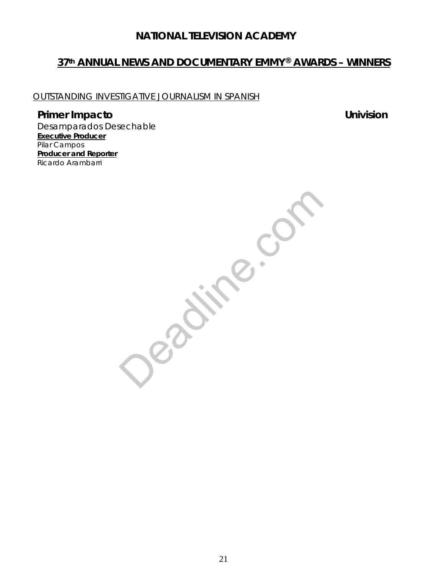#### **37th ANNUAL NEWS AND DOCUMENTARY EMMY® AWARDS – WINNERS**

#### OUTSTANDING INVESTIGATIVE JOURNALISM IN SPANISH

#### **Primer Impacto Districts Univision**

*Desamparados Desechable*  **Executive Producer**  Pilar Campos **Producer and Reporter**  Ricardo Arambarri

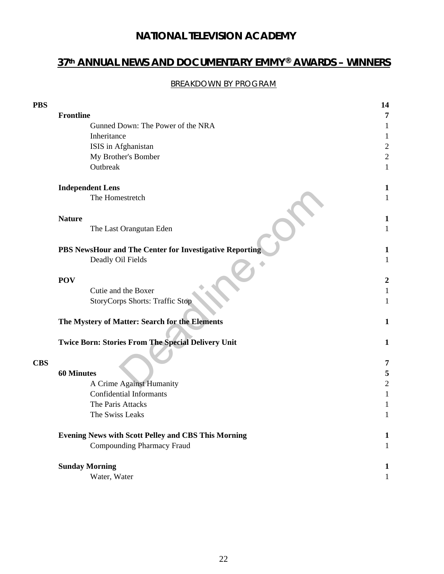### **37th ANNUAL NEWS AND DOCUMENTARY EMMY® AWARDS – WINNERS**

#### BREAKDOWN BY PROGRAM

| PBS        |                                                            | 14             |
|------------|------------------------------------------------------------|----------------|
|            | <b>Frontline</b>                                           | 7              |
|            | Gunned Down: The Power of the NRA                          |                |
|            | Inheritance                                                | 1              |
|            | ISIS in Afghanistan                                        | $\overline{c}$ |
|            | My Brother's Bomber                                        | $\overline{c}$ |
|            | Outbreak                                                   | 1              |
|            | <b>Independent Lens</b>                                    | 1              |
|            | The Homestretch                                            | $\mathbf{1}$   |
|            | <b>Nature</b>                                              | 1              |
|            | The Last Orangutan Eden                                    | $\mathbf{1}$   |
|            | PBS NewsHour and The Center for Investigative Reporting    | 1              |
|            | Deadly Oil Fields                                          | 1              |
|            |                                                            |                |
|            | <b>POV</b>                                                 | 2              |
|            | Cutie and the Boxer                                        |                |
|            | <b>StoryCorps Shorts: Traffic Stop</b>                     | 1              |
|            | The Mystery of Matter: Search for the Elements             | 1              |
|            | <b>Twice Born: Stories From The Special Delivery Unit</b>  | $\mathbf{1}$   |
| <b>CBS</b> |                                                            | 7              |
|            | <b>60 Minutes</b>                                          | 5              |
|            | A Crime Against Humanity                                   | $\overline{c}$ |
|            | <b>Confidential Informants</b>                             |                |
|            | The Paris Attacks                                          |                |
|            | The Swiss Leaks                                            | 1              |
|            | <b>Evening News with Scott Pelley and CBS This Morning</b> | 1              |
|            | Compounding Pharmacy Fraud                                 | $\mathbf{1}$   |
|            | <b>Sunday Morning</b>                                      | 1              |
|            | Water, Water                                               | $\mathbf{1}$   |
|            |                                                            |                |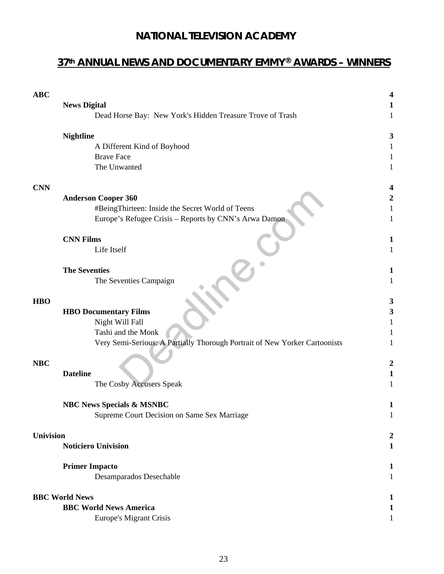# **37th ANNUAL NEWS AND DOCUMENTARY EMMY® AWARDS – WINNERS**

| <b>ABC</b>       |                                                                            |   |
|------------------|----------------------------------------------------------------------------|---|
|                  | <b>News Digital</b>                                                        |   |
|                  | Dead Horse Bay: New York's Hidden Treasure Trove of Trash                  |   |
|                  | <b>Nightline</b>                                                           |   |
|                  | A Different Kind of Boyhood                                                |   |
|                  | <b>Brave Face</b>                                                          |   |
|                  | The Unwanted                                                               |   |
| <b>CNN</b>       |                                                                            |   |
|                  | <b>Anderson Cooper 360</b>                                                 |   |
|                  | #BeingThirteen: Inside the Secret World of Teens                           |   |
|                  | Europe's Refugee Crisis - Reports by CNN's Arwa Damon                      |   |
|                  | <b>CNN Films</b>                                                           |   |
|                  | Life Itself                                                                |   |
|                  | <b>The Seventies</b>                                                       |   |
|                  | The Seventies Campaign                                                     |   |
| <b>HBO</b>       |                                                                            | 3 |
|                  | <b>HBO Documentary Films</b>                                               | 3 |
|                  | Night Will Fall                                                            | 1 |
|                  | Tashi and the Monk                                                         | 1 |
|                  | Very Semi-Serious: A Partially Thorough Portrait of New Yorker Cartoonists | 1 |
|                  |                                                                            |   |
| <b>NBC</b>       |                                                                            |   |
|                  | <b>Dateline</b>                                                            | 1 |
|                  | The Cosby Accusers Speak                                                   |   |
|                  | <b>NBC News Specials &amp; MSNBC</b>                                       | 1 |
|                  | Supreme Court Decision on Same Sex Marriage                                | 1 |
| <b>Univision</b> |                                                                            |   |
|                  | <b>Noticiero Univision</b>                                                 |   |
|                  | <b>Primer Impacto</b>                                                      | 1 |
|                  | Desamparados Desechable                                                    | 1 |
|                  | <b>BBC World News</b>                                                      |   |
|                  | <b>BBC World News America</b>                                              | 1 |
|                  | Europe's Migrant Crisis                                                    | 1 |